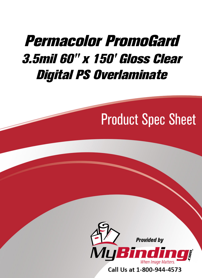## [Permacolor PromoGard](https://www.mybinding.com/permacolor-promogard-3-5mil-gloss-clear-digital-ps-overlaminate.html?sku=PG7060)  3.5mil 60" x 150' Gloss Clear Digital PS Overlaminate

# Product Spec Sheet



Call Us at 1-800-944-4573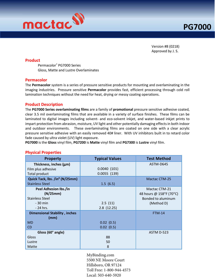

Version #8 (0218) Approved by J. S.

#### **Product**

Permacolor®  [PG7000 Series](https://www.mybinding.com/permacolor-promogard-3-5mil-gloss-clear-digital-ps-overlaminate.html)  Gloss, Matte and Lustre Overlaminates

#### Permacolor

The Permacolor system is a series of pressure sensitive products for mounting and overlaminating in the imaging industries. Pressure sensitive Permacolor provides fast, efficient processing through cold roll lamination techniques without the need for heat, drying or messy coating operations.

#### Product Description

The PG7000 Series overlaminating films are a family of promotional pressure sensitive adhesive coated, clear 3.5 mil overlaminating films that are available in a variety of surface finishes. These films can be laminated to digital images including solvent- and eco-solvent inkjet, and water-based inkjet prints to impart protection from abrasion, moisture, UV light and other potentially damaging effects in both indoor and outdoor environments. These overlaminating films are coated on one side with a clear acrylic pressure sensitive adhesive with an easily removed 40# liner. With UV inhibitors built in to retard color fade caused by ultra violet (UV) light exposure.

PG7000 is the Gloss vinyl film, PG7200 is Matte vinyl film and PG7300 is Lustre vinyl film.

#### Physical Properties

| <b>Property</b>                            | <b>Typical Values</b> | <b>Test Method</b>      |  |
|--------------------------------------------|-----------------------|-------------------------|--|
| Thickness, inches (µm)                     |                       | ASTM-D645               |  |
| Film plus adhesive                         | 0.0040(101)           |                         |  |
| Total product                              | $0.0055$ (139)        |                         |  |
| Quick Tack, Ibs. /in <sup>2</sup> (N/25mm) |                       | <b>Mactac CTM-25</b>    |  |
| <b>Stainless Steel</b>                     | 1.5(6.5)              |                         |  |
| Peel Adhesion Ibs./in                      |                       | Mactac CTM-21           |  |
| (N/25mm)                                   |                       | 48 hours @ 158°F (70°C) |  |
| <b>Stainless Steel</b>                     |                       | Bonded to aluminum      |  |
| $-30$ min                                  | 2.5(11)               | (Method D)              |  |
| - 24 hrs.                                  | 2.8(12.25)            |                         |  |
| <b>Dimensional Stability, inches</b>       |                       | <b>FTM-14</b>           |  |
| (mm)                                       |                       |                         |  |
| <b>MD</b>                                  | 0.02(0.5)             |                         |  |
| CD                                         | 0.02(0.5)             |                         |  |
| Gloss (60° angle)                          |                       | ASTM D-523              |  |
| Gloss                                      | 88                    |                         |  |
| Lustre                                     | 50                    |                         |  |
| Matte                                      | 8                     |                         |  |

[MyBinding.com](http://www.mybinding.com) 5500 NE Moore Court Hillsboro, OR 97124 Toll Free: 1-800-944-4573 Local: 503-640-5920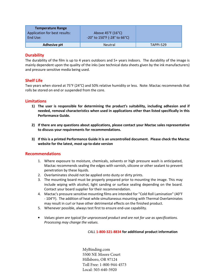| <b>Temperature Range</b><br>Application for best results:<br>End Use: | Above 45°F (16°C)<br>$-20^{\circ}$ to 150°F (-28° to 66°C) |           |
|-----------------------------------------------------------------------|------------------------------------------------------------|-----------|
| <b>Adhesive pH</b>                                                    | <b>Neutral</b>                                             | TAPPI-529 |

## **Durability**

The durability of the film is up to 4 years outdoors and 5+ years indoors. The durability of the image is mainly dependent upon the quality of the inks (see technical data sheets given by the ink manufacturers) and pressure sensitive media being used.

## Shelf Life

Two years when stored at 75°F (24°C) and 50% relative humidity or less. Note: Mactac recommends that rolls be stored on end or suspended from the core.

#### Limitations

- 1) The user is responsible for determining the product's suitability, including adhesion and if needed, removal characteristics when used in applications other than listed specifically in this Performance Guide.
- 2) If there are any questions about applications, please contact your Mactac sales representative to discuss your requirements for recommendations.
- 3) If this is a printed Performance Guide it is an uncontrolled document. Please check the Mactac website for the latest, most up-to-date version

#### Recommendations

- 1. Where exposure to moisture, chemicals, solvents or high pressure wash is anticipated, Mactac recommends sealing the edges with varnish, silicone or other sealant to prevent penetration by these liquids.
- 2. Overlaminates should not be applied onto dusty or dirty prints.
- 3. The mounting board must be properly prepared prior to mounting the image. This may include wiping with alcohol, light sanding or surface sealing depending on the board. Contact your board supplier for their recommendation.
- 4. Mactac's pressure sensitive mounting films are intended for "Cold Roll Lamination" (40°F - 104°F). The addition of heat while simultaneous mounting with Thermal Overlaminates may result in curl or have other detrimental effects on the finished product.
- 5. Whenever possible, always test first to ensure end-use capability.
- Values given are typical for unprocessed product and are not for use as specifications. Processing may change the values.

CALL 1-800-321-8834 for additional product information

[MyBinding.com](http://www.mybinding.com) 5500 NE Moore Court Hillsboro, OR 97124 Toll Free: 1-800-944-4573 Local: 503-640-5920